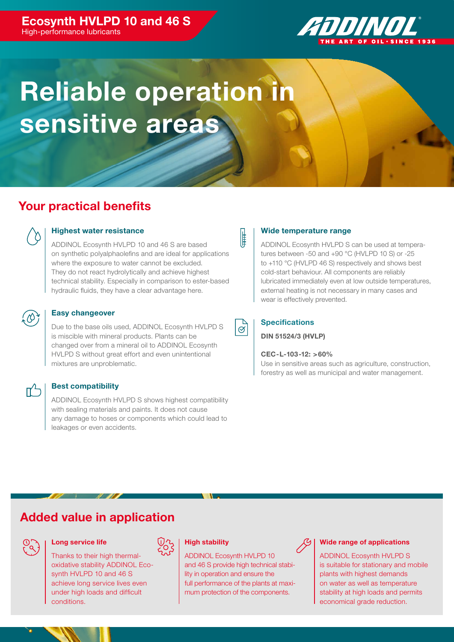#### Ecosynth HVLPD 10 and 46 S High-performance lubricants

ZENNININ

# Reliable operation in sensitive areas

# Your practical benefits



#### Highest water resistance

ADDINOL Ecosynth HVLPD 10 and 46 S are based on synthetic polyalphaolefins and are ideal for applications where the exposure to water cannot be excluded. They do not react hydrolytically and achieve highest technical stability. Especially in comparison to ester-based hydraulic fluids, they have a clear advantage here.



#### Easy changeover

Due to the base oils used, ADDINOL Ecosynth HVLPD S is miscible with mineral products. Plants can be changed over from a mineral oil to ADDINOL Ecosynth HVLPD S without great effort and even unintentional mixtures are unproblematic.

#### Best compatibility

ADDINOL Ecosynth HVLPD S shows highest compatibility with sealing materials and paints. It does not cause any damage to hoses or components which could lead to leakages or even accidents.

#### Wide temperature range

ADDINOL Ecosynth HVLPD S can be used at temperatures between -50 and +90 °C (HVLPD 10 S) or -25 to +110 °C (HVLPD 46 S) respectively and shows best cold-start behaviour. All components are reliably lubricated immediately even at low outside temperatures, external heating is not necessary in many cases and wear is effectively prevented.



⊯

#### **Specifications**

DIN 51524/3 (HVLP)

#### CEC-L-103-12: >60%

Use in sensitive areas such as agriculture, construction, forestry as well as municipal and water management.

## Added value in application



#### Long service life

Thanks to their high thermaloxidative stability ADDINOL Ecosynth HVLPD 10 and 46 S achieve long service lives even under high loads and difficult conditions.



ADDINOL Ecosynth HVLPD 10 and 46 S provide high technical stability in operation and ensure the full performance of the plants at maximum protection of the components.



#### Wide range of applications

ADDINOL Ecosynth HVLPD S is suitable for stationary and mobile plants with highest demands on water as well as temperature stability at high loads and permits economical grade reduction.